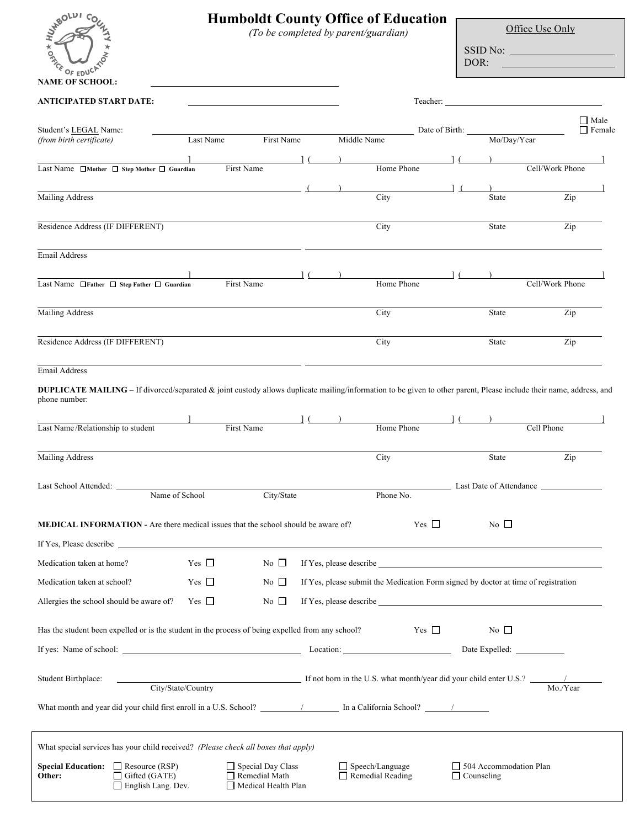| WABOLDT<br><b>KORECE</b><br>OF EDUCA                                                                                                                                                 |                | <b>Humboldt County Office of Education</b><br>(To be completed by parent/guardian) |             |                                                   |                | DOR:                                                                               | Office Use Only<br>SSID No:                                                                                                                                                                                                    |                              |
|--------------------------------------------------------------------------------------------------------------------------------------------------------------------------------------|----------------|------------------------------------------------------------------------------------|-------------|---------------------------------------------------|----------------|------------------------------------------------------------------------------------|--------------------------------------------------------------------------------------------------------------------------------------------------------------------------------------------------------------------------------|------------------------------|
| <b>NAME OF SCHOOL:</b>                                                                                                                                                               |                |                                                                                    |             |                                                   |                |                                                                                    |                                                                                                                                                                                                                                |                              |
| ANTICIPATED START DATE:                                                                                                                                                              |                |                                                                                    |             |                                                   | Teacher:       |                                                                                    |                                                                                                                                                                                                                                |                              |
| Student's LEGAL Name:<br>(from birth certificate)                                                                                                                                    | Last Name      | First Name                                                                         | Middle Name |                                                   | Date of Birth: | Mo/Day/Year                                                                        |                                                                                                                                                                                                                                | $\Box$ Male<br>$\Box$ Female |
| Last Name $\Box$ Mother $\Box$ Step Mother $\Box$ Guardian                                                                                                                           |                | First Name                                                                         |             | Home Phone                                        |                |                                                                                    | Cell/Work Phone                                                                                                                                                                                                                |                              |
| <b>Mailing Address</b>                                                                                                                                                               |                |                                                                                    |             | City                                              |                | State                                                                              | Zip                                                                                                                                                                                                                            |                              |
| Residence Address (IF DIFFERENT)                                                                                                                                                     |                |                                                                                    |             | City                                              |                | State                                                                              | Zip                                                                                                                                                                                                                            |                              |
| <b>Email Address</b>                                                                                                                                                                 |                |                                                                                    |             |                                                   |                |                                                                                    |                                                                                                                                                                                                                                |                              |
| Last Name □ Father □ Step Father □ Guardian                                                                                                                                          |                | First Name                                                                         |             | Home Phone                                        |                |                                                                                    | Cell/Work Phone                                                                                                                                                                                                                |                              |
| <b>Mailing Address</b>                                                                                                                                                               |                |                                                                                    |             | City                                              |                | <b>State</b>                                                                       | Zip                                                                                                                                                                                                                            |                              |
| Residence Address (IF DIFFERENT)                                                                                                                                                     |                |                                                                                    |             | City                                              |                | State                                                                              | Zip                                                                                                                                                                                                                            |                              |
| Email Address                                                                                                                                                                        |                |                                                                                    |             |                                                   |                |                                                                                    |                                                                                                                                                                                                                                |                              |
| DUPLICATE MAILING - If divorced/separated & joint custody allows duplicate mailing/information to be given to other parent, Please include their name, address, and<br>phone number: |                |                                                                                    |             |                                                   |                |                                                                                    |                                                                                                                                                                                                                                |                              |
| Last Name/Relationship to student                                                                                                                                                    |                | First Name                                                                         |             | Home Phone                                        |                |                                                                                    | Cell Phone                                                                                                                                                                                                                     |                              |
| <b>Mailing Address</b>                                                                                                                                                               |                |                                                                                    |             | City                                              |                | State                                                                              | Zip                                                                                                                                                                                                                            |                              |
| Last School Attended:                                                                                                                                                                | Name of School | City/State                                                                         |             | Phone No.                                         |                |                                                                                    | Last Date of Attendance                                                                                                                                                                                                        |                              |
| <b>MEDICAL INFORMATION - Are there medical issues that the school should be aware of?</b>                                                                                            |                |                                                                                    |             |                                                   | $Yes \Box$     | No $\Box$                                                                          |                                                                                                                                                                                                                                |                              |
|                                                                                                                                                                                      |                |                                                                                    |             |                                                   |                |                                                                                    |                                                                                                                                                                                                                                |                              |
| Medication taken at home?                                                                                                                                                            | Yes $\Box$     | No $\Box$                                                                          |             |                                                   |                |                                                                                    | If Yes, please describe subsequently and the set of the set of the set of the set of the set of the set of the set of the set of the set of the set of the set of the set of the set of the set of the set of the set of the s |                              |
| Medication taken at school?                                                                                                                                                          | Yes $\Box$     | No $\square$                                                                       |             |                                                   |                | If Yes, please submit the Medication Form signed by doctor at time of registration |                                                                                                                                                                                                                                |                              |
| Allergies the school should be aware of?                                                                                                                                             | Yes $\square$  | No $\Box$                                                                          |             |                                                   |                |                                                                                    |                                                                                                                                                                                                                                |                              |
| Has the student been expelled or is the student in the process of being expelled from any school?                                                                                    |                |                                                                                    |             |                                                   | Yes $\square$  | No $\Box$                                                                          |                                                                                                                                                                                                                                |                              |
| If yes: Name of school: <u>and the state of school</u> and the state of school: <b>Container of school:</b> Date Expelled:                                                           |                |                                                                                    |             |                                                   |                |                                                                                    |                                                                                                                                                                                                                                |                              |
| Student Birthplace:                                                                                                                                                                  |                |                                                                                    |             |                                                   |                |                                                                                    | City/State/Country If not born in the U.S. what month/year did your child enter U.S.? Mo./Year                                                                                                                                 |                              |
|                                                                                                                                                                                      |                |                                                                                    |             |                                                   |                |                                                                                    |                                                                                                                                                                                                                                |                              |
| What special services has your child received? (Please check all boxes that apply)                                                                                                   |                |                                                                                    |             |                                                   |                |                                                                                    |                                                                                                                                                                                                                                |                              |
| <b>Special Education:</b> $\Box$ Resource (RSP)<br>$\Box$ Gifted (GATE)<br>Other:<br>English Lang. Dev.                                                                              |                | Special Day Class<br>$\Box$ Remedial Math<br>Medical Health Plan                   |             | $\Box$ Speech/Language<br>$\Box$ Remedial Reading |                | $\Box$ 504 Accommodation Plan<br>$\Box$ Counseling                                 |                                                                                                                                                                                                                                |                              |